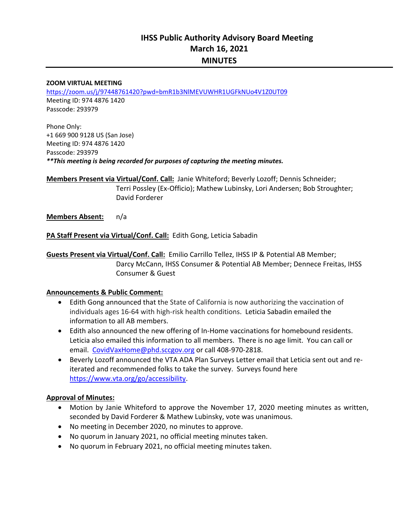# **IHSS Public Authority Advisory Board Meeting March 16, 2021 MINUTES**

#### **ZOOM VIRTUAL MEETING**

https://zoom.us/j/97448761420?pwd=bmR1b3NlMEVUWHR1UGFkNUo4V1Z0UT09 Meeting ID: 974 4876 1420 Passcode: 293979

Phone Only: +1 669 900 9128 US (San Jose) Meeting ID: 974 4876 1420 Passcode: 293979 *\*\*This meeting is being recorded for purposes of capturing the meeting minutes.* 

**Members Present via Virtual/Conf. Call:** Janie Whiteford; Beverly Lozoff; Dennis Schneider;  Terri Possley (Ex‐Officio); Mathew Lubinsky, Lori Andersen; Bob Stroughter; David Forderer

**Members Absent:**  n/a

**PA Staff Present via Virtual/Conf. Call:** Edith Gong, Leticia Sabadin

**Guests Present via Virtual/Conf. Call:** Emilio Carrillo Tellez, IHSS IP & Potential AB Member; Darcy McCann, IHSS Consumer & Potential AB Member; Dennece Freitas, IHSS Consumer & Guest

#### **Announcements & Public Comment:**

- Edith Gong announced that the State of California is now authorizing the vaccination of individuals ages 16‐64 with high‐risk health conditions. Leticia Sabadin emailed the information to all AB members.
- Edith also announced the new offering of In-Home vaccinations for homebound residents. Leticia also emailed this information to all members. There is no age limit. You can call or email. CovidVaxHome@phd.sccgov.org or call 408-970-2818.
- Beverly Lozoff announced the VTA ADA Plan Surveys Letter email that Leticia sent out and reiterated and recommended folks to take the survey. Surveys found here https://www.vta.org/go/accessibility.

#### **Approval of Minutes:**

- Motion by Janie Whiteford to approve the November 17, 2020 meeting minutes as written, seconded by David Forderer & Mathew Lubinsky, vote was unanimous.
- No meeting in December 2020, no minutes to approve.
- No quorum in January 2021, no official meeting minutes taken.
- No quorum in February 2021, no official meeting minutes taken.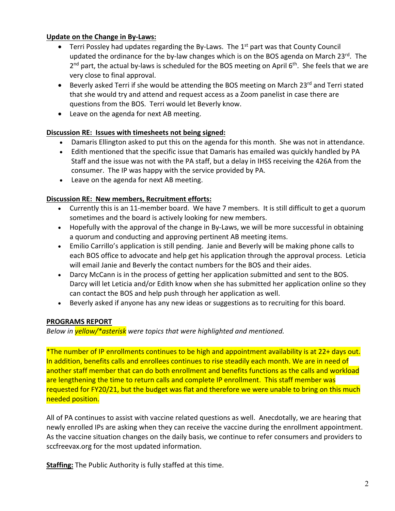## **Update on the Change in By‐Laws:**

- **•** Terri Possley had updates regarding the By-Laws. The  $1<sup>st</sup>$  part was that County Council updated the ordinance for the by-law changes which is on the BOS agenda on March  $23^{rd}$ . The  $2<sup>nd</sup>$  part, the actual by-laws is scheduled for the BOS meeting on April 6<sup>th</sup>. She feels that we are very close to final approval.
- Beverly asked Terri if she would be attending the BOS meeting on March 23<sup>rd</sup> and Terri stated that she would try and attend and request access as a Zoom panelist in case there are questions from the BOS. Terri would let Beverly know.
- Leave on the agenda for next AB meeting.

# **Discussion RE: Issues with timesheets not being signed:**

- Damaris Ellington asked to put this on the agenda for this month. She was not in attendance.
- Edith mentioned that the specific issue that Damaris has emailed was quickly handled by PA Staff and the issue was not with the PA staff, but a delay in IHSS receiving the 426A from the consumer. The IP was happy with the service provided by PA.
- Leave on the agenda for next AB meeting.

# **Discussion RE: New members, Recruitment efforts:**

- Currently this is an 11-member board. We have 7 members. It is still difficult to get a quorum sometimes and the board is actively looking for new members.
- Hopefully with the approval of the change in By-Laws, we will be more successful in obtaining a quorum and conducting and approving pertinent AB meeting items.
- Emilio Carrillo's application is still pending. Janie and Beverly will be making phone calls to each BOS office to advocate and help get his application through the approval process. Leticia will email Janie and Beverly the contact numbers for the BOS and their aides.
- Darcy McCann is in the process of getting her application submitted and sent to the BOS. Darcy will let Leticia and/or Edith know when she has submitted her application online so they can contact the BOS and help push through her application as well.
- Beverly asked if anyone has any new ideas or suggestions as to recruiting for this board.

# **PROGRAMS REPORT**

*Below in yellow/\*asterisk were topics that were highlighted and mentioned.* 

\*The number of IP enrollments continues to be high and appointment availability is at 22+ days out. In addition, benefits calls and enrollees continues to rise steadily each month. We are in need of another staff member that can do both enrollment and benefits functions as the calls and workload are lengthening the time to return calls and complete IP enrollment. This staff member was requested for FY20/21, but the budget was flat and therefore we were unable to bring on this much needed position.

All of PA continues to assist with vaccine related questions as well. Anecdotally, we are hearing that newly enrolled IPs are asking when they can receive the vaccine during the enrollment appointment. As the vaccine situation changes on the daily basis, we continue to refer consumers and providers to sccfreevax.org for the most updated information.

**Staffing:** The Public Authority is fully staffed at this time.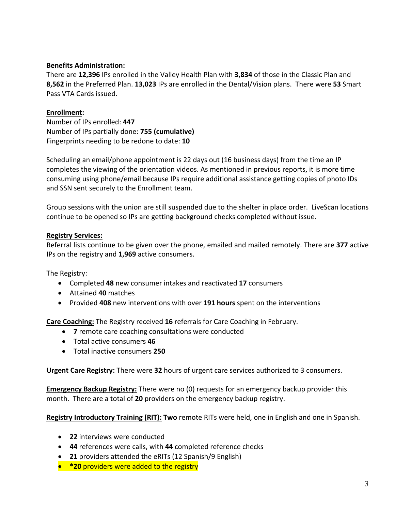## **Benefits Administration:**

There are **12,396** IPs enrolled in the Valley Health Plan with **3,834** of those in the Classic Plan and **8,562** in the Preferred Plan. **13,023** IPs are enrolled in the Dental/Vision plans. There were **53** Smart Pass VTA Cards issued.

## **Enrollment:**

Number of IPs enrolled: **447**  Number of IPs partially done: **755 (cumulative)** Fingerprints needing to be redone to date: **10** 

Scheduling an email/phone appointment is 22 days out (16 business days) from the time an IP completes the viewing of the orientation videos. As mentioned in previous reports, it is more time consuming using phone/email because IPs require additional assistance getting copies of photo IDs and SSN sent securely to the Enrollment team.

Group sessions with the union are still suspended due to the shelter in place order. LiveScan locations continue to be opened so IPs are getting background checks completed without issue.

## **Registry Services:**

Referral lists continue to be given over the phone, emailed and mailed remotely. There are **377** active IPs on the registry and **1,969** active consumers.

The Registry:

- Completed **48** new consumer intakes and reactivated **17** consumers
- Attained **40** matches
- Provided **408** new interventions with over **191 hours** spent on the interventions

**Care Coaching:** The Registry received **16** referrals for Care Coaching in February.

- **7** remote care coaching consultations were conducted
- Total active consumers **46**
- Total inactive consumers **250**

**Urgent Care Registry:** There were **32** hours of urgent care services authorized to 3 consumers.

**Emergency Backup Registry:** There were no (0) requests for an emergency backup provider this month. There are a total of **20** providers on the emergency backup registry.

**Registry Introductory Training (RIT): Two** remote RITs were held, one in English and one in Spanish.

- **22** interviews were conducted
- **44** references were calls, with **44** completed reference checks
- **21** providers attended the eRITs (12 Spanish/9 English)
- **\*20** providers were added to the registry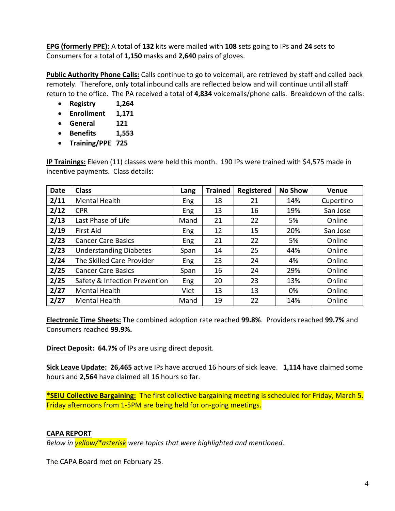**EPG (formerly PPE):** A total of **132** kits were mailed with **108** sets going to IPs and **24** sets to Consumers for a total of **1,150** masks and **2,640** pairs of gloves.

**Public Authority Phone Calls:** Calls continue to go to voicemail, are retrieved by staff and called back remotely. Therefore, only total inbound calls are reflected below and will continue until all staff return to the office. The PA received a total of **4,834** voicemails/phone calls. Breakdown of the calls:

- **Registry 1,264**
- **Enrollment 1,171**
- **General 121**
- **Benefits 1,553**
- **Training/PPE 725**

**IP Trainings:** Eleven (11) classes were held this month. 190 IPs were trained with \$4,575 made in incentive payments. Class details:

| <b>Date</b> | <b>Class</b>                  | Lang       | <b>Trained</b> | <b>Registered</b> | <b>No Show</b> | <b>Venue</b> |
|-------------|-------------------------------|------------|----------------|-------------------|----------------|--------------|
| 2/11        | <b>Mental Health</b>          | Eng        | 18             | 21                | 14%            | Cupertino    |
| 2/12        | <b>CPR</b>                    | Eng        | 13             | 16                | 19%            | San Jose     |
| 2/13        | Last Phase of Life            | Mand       | 21             | 22                | 5%             | Online       |
| 2/19        | <b>First Aid</b>              | Eng        | 12             | 15                | 20%            | San Jose     |
| 2/23        | <b>Cancer Care Basics</b>     | Eng        | 21             | 22                | 5%             | Online       |
| 2/23        | <b>Understanding Diabetes</b> | Span       | 14             | 25                | 44%            | Online       |
| 2/24        | The Skilled Care Provider     | <b>Eng</b> | 23             | 24                | 4%             | Online       |
| 2/25        | <b>Cancer Care Basics</b>     | Span       | 16             | 24                | 29%            | Online       |
| 2/25        | Safety & Infection Prevention | Eng        | 20             | 23                | 13%            | Online       |
| 2/27        | <b>Mental Health</b>          | Viet       | 13             | 13                | 0%             | Online       |
| 2/27        | <b>Mental Health</b>          | Mand       | 19             | 22                | 14%            | Online       |

**Electronic Time Sheets:** The combined adoption rate reached **99.8%**. Providers reached **99.7%** and Consumers reached **99.9%.**

**Direct Deposit: 64.7%** of IPs are using direct deposit.

**Sick Leave Update: 26,465** active IPs have accrued 16 hours of sick leave. **1,114** have claimed some hours and **2,564** have claimed all 16 hours so far.

**\*SEIU Collective Bargaining:** The first collective bargaining meeting is scheduled for Friday, March 5. Friday afternoons from 1‐5PM are being held for on‐going meetings.

## **CAPA REPORT**

*Below in yellow/\*asterisk were topics that were highlighted and mentioned.* 

The CAPA Board met on February 25.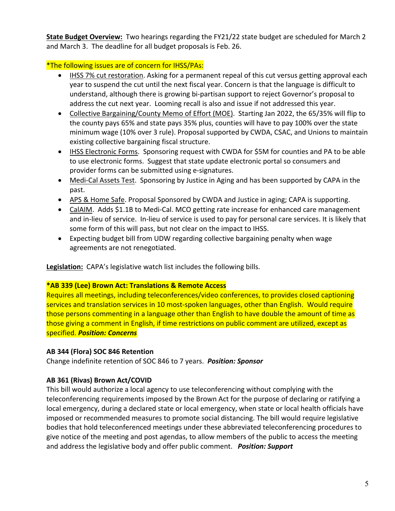**State Budget Overview:** Two hearings regarding the FY21/22 state budget are scheduled for March 2 and March 3. The deadline for all budget proposals is Feb. 26.

# \*The following issues are of concern for IHSS/PAs:

- IHSS 7% cut restoration. Asking for a permanent repeal of this cut versus getting approval each year to suspend the cut until the next fiscal year. Concern is that the language is difficult to understand, although there is growing bi‐partisan support to reject Governor's proposal to address the cut next year. Looming recall is also and issue if not addressed this year.
- Collective Bargaining/County Memo of Effort (MOE). Starting Jan 2022, the 65/35% will flip to the county pays 65% and state pays 35% plus, counties will have to pay 100% over the state minimum wage (10% over 3 rule). Proposal supported by CWDA, CSAC, and Unions to maintain existing collective bargaining fiscal structure.
- IHSS Electronic Forms. Sponsoring request with CWDA for \$5M for counties and PA to be able to use electronic forms. Suggest that state update electronic portal so consumers and provider forms can be submitted using e‐signatures.
- Medi-Cal Assets Test. Sponsoring by Justice in Aging and has been supported by CAPA in the past.
- APS & Home Safe. Proposal Sponsored by CWDA and Justice in aging; CAPA is supporting.
- CalAIM. Adds \$1.1B to Medi-Cal. MCO getting rate increase for enhanced care management and in‐lieu of service. In‐lieu of service is used to pay for personal care services. It is likely that some form of this will pass, but not clear on the impact to IHSS.
- Expecting budget bill from UDW regarding collective bargaining penalty when wage agreements are not renegotiated.

Legislation: CAPA's legislative watch list includes the following bills.

## **\*AB 339 (Lee) Brown Act: Translations & Remote Access**

Requires all meetings, including teleconferences/video conferences, to provides closed captioning services and translation services in 10 most-spoken languages, other than English. Would require those persons commenting in a language other than English to have double the amount of time as those giving a comment in English, if time restrictions on public comment are utilized, except as specified. *Position: Concerns*

# **AB 344 (Flora) SOC 846 Retention**

Change indefinite retention of SOC 846 to 7 years. *Position: Sponsor* 

# **AB 361 (Rivas) Brown Act/COVID**

This bill would authorize a local agency to use teleconferencing without complying with the teleconferencing requirements imposed by the Brown Act for the purpose of declaring or ratifying a local emergency, during a declared state or local emergency, when state or local health officials have imposed or recommended measures to promote social distancing. The bill would require legislative bodies that hold teleconferenced meetings under these abbreviated teleconferencing procedures to give notice of the meeting and post agendas, to allow members of the public to access the meeting and address the legislative body and offer public comment. *Position: Support*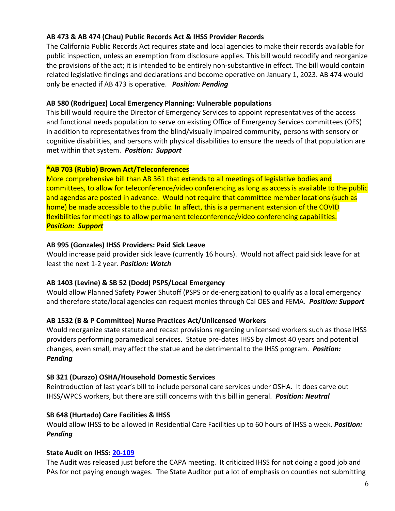## **AB 473 & AB 474 (Chau) Public Records Act & IHSS Provider Records**

The California Public Records Act requires state and local agencies to make their records available for public inspection, unless an exemption from disclosure applies. This bill would recodify and reorganize the provisions of the act; it is intended to be entirely non‐substantive in effect. The bill would contain related legislative findings and declarations and become operative on January 1, 2023. AB 474 would only be enacted if AB 473 is operative. *Position: Pending* 

#### **AB 580 (Rodriguez) Local Emergency Planning: Vulnerable populations**

This bill would require the Director of Emergency Services to appoint representatives of the access and functional needs population to serve on existing Office of Emergency Services committees (OES) in addition to representatives from the blind/visually impaired community, persons with sensory or cognitive disabilities, and persons with physical disabilities to ensure the needs of that population are met within that system.  *Position: Support* 

#### **\*AB 703 (Rubio) Brown Act/Teleconferences**

More comprehensive bill than AB 361 that extends to all meetings of legislative bodies and committees, to allow for teleconference/video conferencing as long as access is available to the public and agendas are posted in advance. Would not require that committee member locations (such as home) be made accessible to the public. In affect, this is a permanent extension of the COVID flexibilities for meetings to allow permanent teleconference/video conferencing capabilities. *Position: Support*

#### **AB 995 (Gonzales) IHSS Providers: Paid Sick Leave**

Would increase paid provider sick leave (currently 16 hours). Would not affect paid sick leave for at least the next 1‐2 year. *Position: Watch*

## **AB 1403 (Levine) & SB 52 (Dodd) PSPS/Local Emergency**

Would allow Planned Safety Power Shutoff (PSPS or de‐energization) to qualify as a local emergency and therefore state/local agencies can request monies through Cal OES and FEMA. *Position: Support*

## **AB 1532 (B & P Committee) Nurse Practices Act/Unlicensed Workers**

Would reorganize state statute and recast provisions regarding unlicensed workers such as those IHSS providers performing paramedical services. Statue pre‐dates IHSS by almost 40 years and potential changes, even small, may affect the statue and be detrimental to the IHSS program. *Position: Pending* 

## **SB 321 (Durazo) OSHA/Household Domestic Services**

Reintroduction of last year's bill to include personal care services under OSHA. It does carve out IHSS/WPCS workers, but there are still concerns with this bill in general. *Position: Neutral* 

## **SB 648 (Hurtado) Care Facilities & IHSS**

Would allow IHSS to be allowed in Residential Care Facilities up to 60 hours of IHSS a week. *Position: Pending*

## **State Audit on IHSS: 20‐109**

The Audit was released just before the CAPA meeting. It criticized IHSS for not doing a good job and PAs for not paying enough wages. The State Auditor put a lot of emphasis on counties not submitting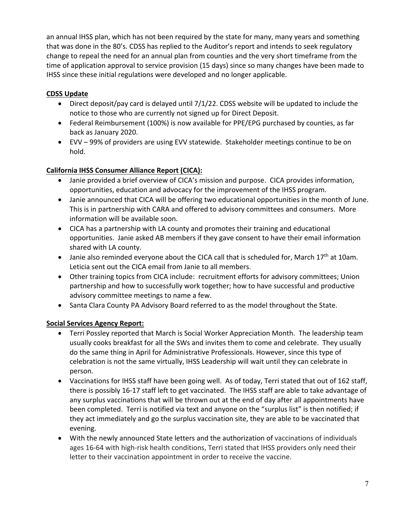an annual IHSS plan, which has not been required by the state for many, many years and something that was done in the 80's. CDSS has replied to the Auditor's report and intends to seek regulatory change to repeal the need for an annual plan from counties and the very short timeframe from the time of application approval to service provision (15 days) since so many changes have been made to IHSS since these initial regulations were developed and no longer applicable.

# **CDSS Update**

- Direct deposit/pay card is delayed until 7/1/22. CDSS website will be updated to include the notice to those who are currently not signed up for Direct Deposit.
- Federal Reimbursement (100%) is now available for PPE/EPG purchased by counties, as far back as January 2020.
- EVV 99% of providers are using EVV statewide. Stakeholder meetings continue to be on hold.

# **California IHSS Consumer Alliance Report (CICA):**

- Janie provided a brief overview of CICA's mission and purpose. CICA provides information, opportunities, education and advocacy for the improvement of the IHSS program.
- Janie announced that CICA will be offering two educational opportunities in the month of June. This is in partnership with CARA and offered to advisory committees and consumers. More information will be available soon.
- CICA has a partnership with LA county and promotes their training and educational opportunities. Janie asked AB members if they gave consent to have their email information shared with LA county.
- $\bullet$  Janie also reminded everyone about the CICA call that is scheduled for, March 17<sup>th</sup> at 10am. Leticia sent out the CICA email from Janie to all members.
- Other training topics from CICA include: recruitment efforts for advisory committees; Union partnership and how to successfully work together; how to have successful and productive advisory committee meetings to name a few.
- Santa Clara County PA Advisory Board referred to as the model throughout the State.

# **Social Services Agency Report:**

- Terri Possley reported that March is Social Worker Appreciation Month. The leadership team usually cooks breakfast for all the SWs and invites them to come and celebrate. They usually do the same thing in April for Administrative Professionals. However, since this type of celebration is not the same virtually, IHSS Leadership will wait until they can celebrate in person.
- Vaccinations for IHSS staff have been going well. As of today, Terri stated that out of 162 staff, there is possibly 16‐17 staff left to get vaccinated. The IHSS staff are able to take advantage of any surplus vaccinations that will be thrown out at the end of day after all appointments have been completed. Terri is notified via text and anyone on the "surplus list" is then notified; if they act immediately and go the surplus vaccination site, they are able to be vaccinated that evening.
- With the newly announced State letters and the authorization of vaccinations of individuals ages 16‐64 with high‐risk health conditions, Terri stated that IHSS providers only need their letter to their vaccination appointment in order to receive the vaccine.